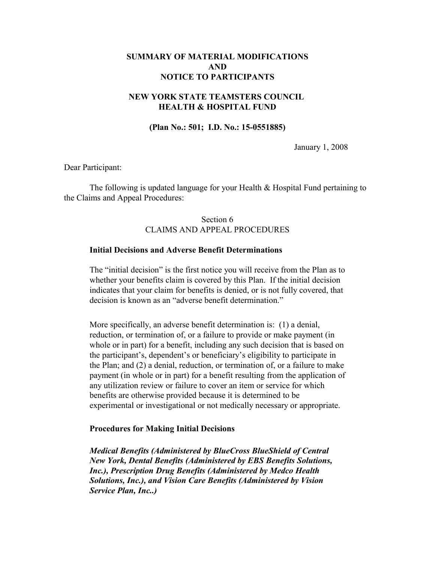# **SUMMARY OF MATERIAL MODIFICATIONS AND NOTICE TO PARTICIPANTS**

# **NEW YORK STATE TEAMSTERS COUNCIL HEALTH & HOSPITAL FUND**

## **(Plan No.: 501; I.D. No.: 15-0551885)**

January 1, 2008

Dear Participant:

The following is updated language for your Health & Hospital Fund pertaining to the Claims and Appeal Procedures:

# Section 6 CLAIMS AND APPEAL PROCEDURES

### **Initial Decisions and Adverse Benefit Determinations**

The "initial decision" is the first notice you will receive from the Plan as to whether your benefits claim is covered by this Plan. If the initial decision indicates that your claim for benefits is denied, or is not fully covered, that decision is known as an "adverse benefit determination."

More specifically, an adverse benefit determination is: (1) a denial, reduction, or termination of, or a failure to provide or make payment (in whole or in part) for a benefit, including any such decision that is based on the participant's, dependent's or beneficiary's eligibility to participate in the Plan; and (2) a denial, reduction, or termination of, or a failure to make payment (in whole or in part) for a benefit resulting from the application of any utilization review or failure to cover an item or service for which benefits are otherwise provided because it is determined to be experimental or investigational or not medically necessary or appropriate.

### **Procedures for Making Initial Decisions**

*Medical Benefits (Administered by BlueCross BlueShield of Central New York, Dental Benefits (Administered by EBS Benefits Solutions, Inc.), Prescription Drug Benefits (Administered by Medco Health Solutions, Inc.), and Vision Care Benefits (Administered by Vision Service Plan, Inc..)*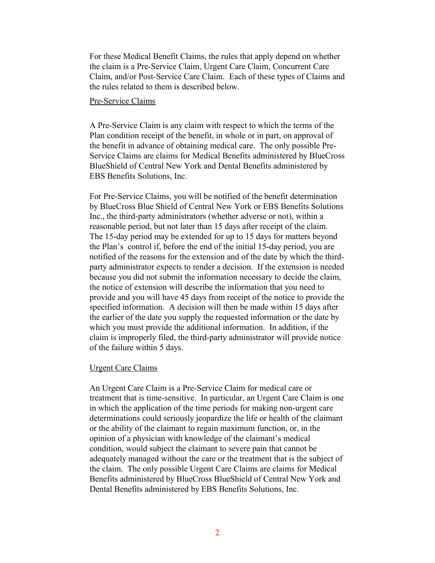For these Medical Benefit Claims, the rules that apply depend on whether the claim is a Pre-Service Claim, Urgent Care Claim, Concurrent Care Claim, and/or Post-Service Care Claim. Each of these types of Claims and the rules related to them is described below.

### Pre-Service Claims

A Pre-Service Claim is any claim with respect to which the terms of the Plan condition receipt of the benefit, in whole or in part, on approval of the benefit in advance of obtaining medical care. The only possible Pre-Service Claims are claims for Medical Benefits administered by BlueCross BlueShield of Central New York and Dental Benefits administered by EBS Benefits Solutions, Inc.

For Pre-Service Claims, you will be notified of the benefit determination by BlueCross Blue Shield of Central New York or EBS Benefits Solutions Inc., the third-party administrators (whether adverse or not), within a reasonable period, but not later than 15 days after receipt of the claim. The 15-day period may be extended for up to 15 days for matters beyond the Plan's control if, before the end of the initial 15-day period, you are notified of the reasons for the extension and of the date by which the thirdparty administrator expects to render a decision. If the extension is needed because you did not submit the information necessary to decide the claim, the notice of extension will describe the information that you need to provide and you will have 45 days from receipt of the notice to provide the specified information. A decision will then be made within 15 days after the earlier of the date you supply the requested information or the date by which you must provide the additional information. In addition, if the claim is improperly filed, the third-party administrator will provide notice of the failure within 5 days.

### Urgent Care Claims

An Urgent Care Claim is a Pre-Service Claim for medical care or treatment that is time-sensitive. In particular, an Urgent Care Claim is one in which the application of the time periods for making non-urgent care determinations could seriously jeopardize the life or health of the claimant or the ability of the claimant to regain maximum function, or, in the opinion of a physician with knowledge of the claimant's medical condition, would subject the claimant to severe pain that cannot be adequately managed without the care or the treatment that is the subject of the claim. The only possible Urgent Care Claims are claims for Medical Benefits administered by BlueCross BlueShield of Central New York and Dental Benefits administered by EBS Benefits Solutions, Inc.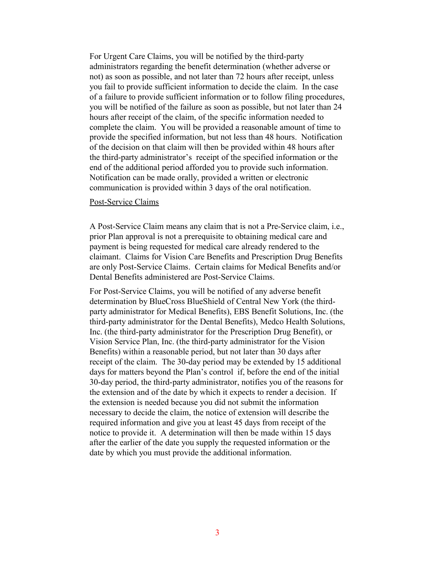For Urgent Care Claims, you will be notified by the third-party administrators regarding the benefit determination (whether adverse or not) as soon as possible, and not later than 72 hours after receipt, unless you fail to provide sufficient information to decide the claim. In the case of a failure to provide sufficient information or to follow filing procedures, you will be notified of the failure as soon as possible, but not later than 24 hours after receipt of the claim, of the specific information needed to complete the claim. You will be provided a reasonable amount of time to provide the specified information, but not less than 48 hours. Notification of the decision on that claim will then be provided within 48 hours after the third-party administrator's receipt of the specified information or the end of the additional period afforded you to provide such information. Notification can be made orally, provided a written or electronic communication is provided within 3 days of the oral notification.

#### Post-Service Claims

A Post-Service Claim means any claim that is not a Pre-Service claim, i.e., prior Plan approval is not a prerequisite to obtaining medical care and payment is being requested for medical care already rendered to the claimant. Claims for Vision Care Benefits and Prescription Drug Benefits are only Post-Service Claims. Certain claims for Medical Benefits and/or Dental Benefits administered are Post-Service Claims.

For Post-Service Claims, you will be notified of any adverse benefit determination by BlueCross BlueShield of Central New York (the thirdparty administrator for Medical Benefits), EBS Benefit Solutions, Inc. (the third-party administrator for the Dental Benefits), Medco Health Solutions, Inc. (the third-party administrator for the Prescription Drug Benefit), or Vision Service Plan, Inc. (the third-party administrator for the Vision Benefits) within a reasonable period, but not later than 30 days after receipt of the claim. The 30-day period may be extended by 15 additional days for matters beyond the Plan's control if, before the end of the initial 30-day period, the third-party administrator, notifies you of the reasons for the extension and of the date by which it expects to render a decision. If the extension is needed because you did not submit the information necessary to decide the claim, the notice of extension will describe the required information and give you at least 45 days from receipt of the notice to provide it. A determination will then be made within 15 days after the earlier of the date you supply the requested information or the date by which you must provide the additional information.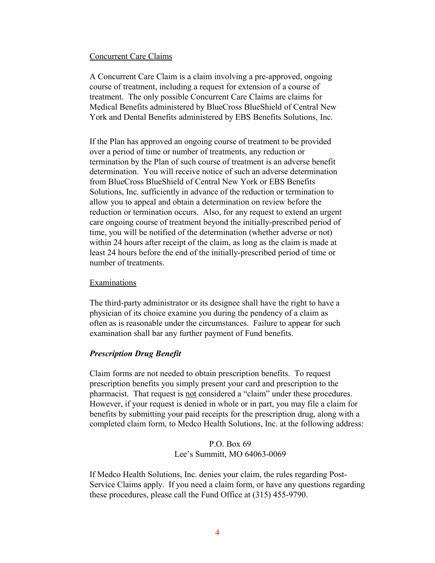## Concurrent Care Claims

A Concurrent Care Claim is a claim involving a pre-approved, ongoing course of treatment, including a request for extension of a course of treatment. The only possible Concurrent Care Claims are claims for Medical Benefits administered by BlueCross BlueShield of Central New York and Dental Benefits administered by EBS Benefits Solutions, Inc.

If the Plan has approved an ongoing course of treatment to be provided over a period of time or number of treatments, any reduction or termination by the Plan of such course of treatment is an adverse benefit determination. You will receive notice of such an adverse determination from BlueCross BlueShield of Central New York or EBS Benefits Solutions, Inc. sufficiently in advance of the reduction or termination to allow you to appeal and obtain a determination on review before the reduction or termination occurs. Also, for any request to extend an urgent care ongoing course of treatment beyond the initially-prescribed period of time, you will be notified of the determination (whether adverse or not) within 24 hours after receipt of the claim, as long as the claim is made at least 24 hours before the end of the initially-prescribed period of time or number of treatments.

## Examinations

The third-party administrator or its designee shall have the right to have a physician of its choice examine you during the pendency of a claim as often as is reasonable under the circumstances. Failure to appear for such examination shall bar any further payment of Fund benefits.

# *Prescription Drug Benefit*

Claim forms are not needed to obtain prescription benefits. To request prescription benefits you simply present your card and prescription to the pharmacist. That request is not considered a "claim" under these procedures. However, if your request is denied in whole or in part, you may file a claim for benefits by submitting your paid receipts for the prescription drug, along with a completed claim form, to Medco Health Solutions, Inc. at the following address:

> P.O. Box 69 Lee's Summitt, MO 64063-0069

If Medco Health Solutions, Inc. denies your claim, the rules regarding Post-Service Claims apply. If you need a claim form, or have any questions regarding these procedures, please call the Fund Office at (315) 455-9790.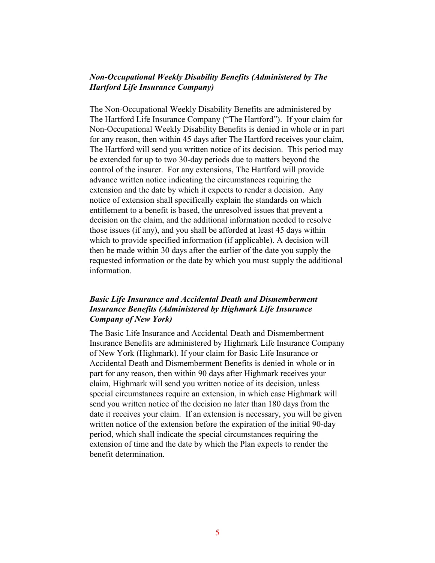# *Non-Occupational Weekly Disability Benefits (Administered by The Hartford Life Insurance Company)*

The Non-Occupational Weekly Disability Benefits are administered by The Hartford Life Insurance Company ("The Hartford"). If your claim for Non-Occupational Weekly Disability Benefits is denied in whole or in part for any reason, then within 45 days after The Hartford receives your claim, The Hartford will send you written notice of its decision. This period may be extended for up to two 30-day periods due to matters beyond the control of the insurer. For any extensions, The Hartford will provide advance written notice indicating the circumstances requiring the extension and the date by which it expects to render a decision. Any notice of extension shall specifically explain the standards on which entitlement to a benefit is based, the unresolved issues that prevent a decision on the claim, and the additional information needed to resolve those issues (if any), and you shall be afforded at least 45 days within which to provide specified information (if applicable). A decision will then be made within 30 days after the earlier of the date you supply the requested information or the date by which you must supply the additional information.

# *Basic Life Insurance and Accidental Death and Dismemberment Insurance Benefits (Administered by Highmark Life Insurance Company of New York)*

The Basic Life Insurance and Accidental Death and Dismemberment Insurance Benefits are administered by Highmark Life Insurance Company of New York (Highmark). If your claim for Basic Life Insurance or Accidental Death and Dismemberment Benefits is denied in whole or in part for any reason, then within 90 days after Highmark receives your claim, Highmark will send you written notice of its decision, unless special circumstances require an extension, in which case Highmark will send you written notice of the decision no later than 180 days from the date it receives your claim. If an extension is necessary, you will be given written notice of the extension before the expiration of the initial 90-day period, which shall indicate the special circumstances requiring the extension of time and the date by which the Plan expects to render the benefit determination.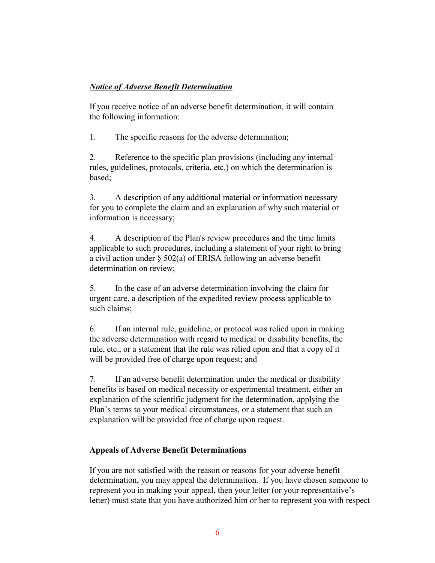# *Notice of Adverse Benefit Determination*

If you receive notice of an adverse benefit determination, it will contain the following information:

1. The specific reasons for the adverse determination;

2. Reference to the specific plan provisions (including any internal rules, guidelines, protocols, criteria, etc.) on which the determination is based;

3. A description of any additional material or information necessary for you to complete the claim and an explanation of why such material or information is necessary;

4. A description of the Plan's review procedures and the time limits applicable to such procedures, including a statement of your right to bring a civil action under § 502(a) of ERISA following an adverse benefit determination on review;

5. In the case of an adverse determination involving the claim for urgent care, a description of the expedited review process applicable to such claims;

6. If an internal rule, guideline, or protocol was relied upon in making the adverse determination with regard to medical or disability benefits, the rule, etc., or a statement that the rule was relied upon and that a copy of it will be provided free of charge upon request; and

7. If an adverse benefit determination under the medical or disability benefits is based on medical necessity or experimental treatment, either an explanation of the scientific judgment for the determination, applying the Plan's terms to your medical circumstances, or a statement that such an explanation will be provided free of charge upon request.

# **Appeals of Adverse Benefit Determinations**

If you are not satisfied with the reason or reasons for your adverse benefit determination, you may appeal the determination. If you have chosen someone to represent you in making your appeal, then your letter (or your representative's letter) must state that you have authorized him or her to represent you with respect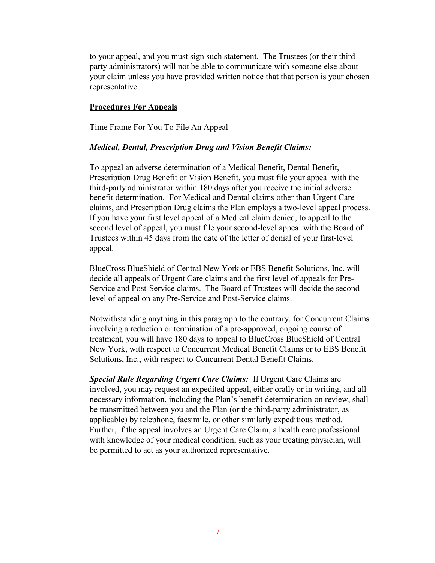to your appeal, and you must sign such statement. The Trustees (or their thirdparty administrators) will not be able to communicate with someone else about your claim unless you have provided written notice that that person is your chosen representative.

## **Procedures For Appeals**

Time Frame For You To File An Appeal

### *Medical, Dental, Prescription Drug and Vision Benefit Claims:*

To appeal an adverse determination of a Medical Benefit, Dental Benefit, Prescription Drug Benefit or Vision Benefit, you must file your appeal with the third-party administrator within 180 days after you receive the initial adverse benefit determination. For Medical and Dental claims other than Urgent Care claims, and Prescription Drug claims the Plan employs a two-level appeal process. If you have your first level appeal of a Medical claim denied, to appeal to the second level of appeal, you must file your second-level appeal with the Board of Trustees within 45 days from the date of the letter of denial of your first-level appeal.

BlueCross BlueShield of Central New York or EBS Benefit Solutions, Inc. will decide all appeals of Urgent Care claims and the first level of appeals for Pre-Service and Post-Service claims. The Board of Trustees will decide the second level of appeal on any Pre-Service and Post-Service claims.

Notwithstanding anything in this paragraph to the contrary, for Concurrent Claims involving a reduction or termination of a pre-approved, ongoing course of treatment, you will have 180 days to appeal to BlueCross BlueShield of Central New York, with respect to Concurrent Medical Benefit Claims or to EBS Benefit Solutions, Inc., with respect to Concurrent Dental Benefit Claims.

*Special Rule Regarding Urgent Care Claims:* If Urgent Care Claims are involved, you may request an expedited appeal, either orally or in writing, and all necessary information, including the Plan's benefit determination on review, shall be transmitted between you and the Plan (or the third-party administrator, as applicable) by telephone, facsimile, or other similarly expeditious method. Further, if the appeal involves an Urgent Care Claim, a health care professional with knowledge of your medical condition, such as your treating physician, will be permitted to act as your authorized representative.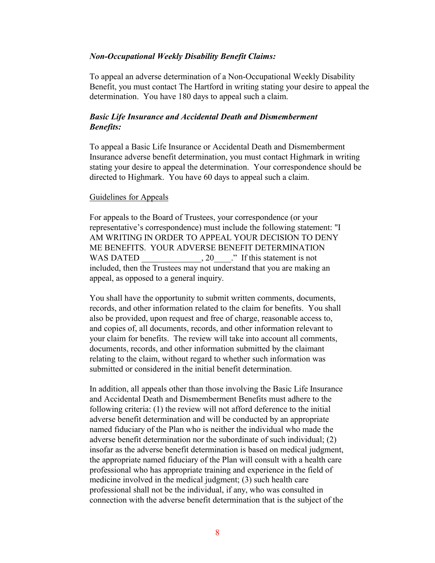## *Non-Occupational Weekly Disability Benefit Claims:*

To appeal an adverse determination of a Non-Occupational Weekly Disability Benefit, you must contact The Hartford in writing stating your desire to appeal the determination. You have 180 days to appeal such a claim.

# *Basic Life Insurance and Accidental Death and Dismemberment Benefits:*

To appeal a Basic Life Insurance or Accidental Death and Dismemberment Insurance adverse benefit determination, you must contact Highmark in writing stating your desire to appeal the determination. Your correspondence should be directed to Highmark. You have 60 days to appeal such a claim.

## Guidelines for Appeals

For appeals to the Board of Trustees, your correspondence (or your representative's correspondence) must include the following statement: "I AM WRITING IN ORDER TO APPEAL YOUR DECISION TO DENY ME BENEFITS. YOUR ADVERSE BENEFIT DETERMINATION WAS DATED \_\_\_\_\_\_\_\_\_\_\_\_, 20\_\_\_\_." If this statement is not included, then the Trustees may not understand that you are making an appeal, as opposed to a general inquiry.

You shall have the opportunity to submit written comments, documents, records, and other information related to the claim for benefits. You shall also be provided, upon request and free of charge, reasonable access to, and copies of, all documents, records, and other information relevant to your claim for benefits. The review will take into account all comments, documents, records, and other information submitted by the claimant relating to the claim, without regard to whether such information was submitted or considered in the initial benefit determination.

In addition, all appeals other than those involving the Basic Life Insurance and Accidental Death and Dismemberment Benefits must adhere to the following criteria: (1) the review will not afford deference to the initial adverse benefit determination and will be conducted by an appropriate named fiduciary of the Plan who is neither the individual who made the adverse benefit determination nor the subordinate of such individual; (2) insofar as the adverse benefit determination is based on medical judgment, the appropriate named fiduciary of the Plan will consult with a health care professional who has appropriate training and experience in the field of medicine involved in the medical judgment; (3) such health care professional shall not be the individual, if any, who was consulted in connection with the adverse benefit determination that is the subject of the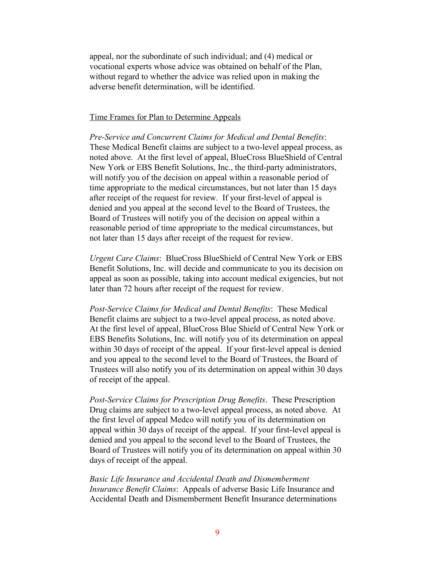appeal, nor the subordinate of such individual; and (4) medical or vocational experts whose advice was obtained on behalf of the Plan, without regard to whether the advice was relied upon in making the adverse benefit determination, will be identified.

# Time Frames for Plan to Determine Appeals

*Pre-Service and Concurrent Claims for Medical and Dental Benefits*: These Medical Benefit claims are subject to a two-level appeal process, as noted above. At the first level of appeal, BlueCross BlueShield of Central New York or EBS Benefit Solutions, Inc., the third-party administrators, will notify you of the decision on appeal within a reasonable period of time appropriate to the medical circumstances, but not later than 15 days after receipt of the request for review. If your first-level of appeal is denied and you appeal at the second level to the Board of Trustees, the Board of Trustees will notify you of the decision on appeal within a reasonable period of time appropriate to the medical circumstances, but not later than 15 days after receipt of the request for review.

*Urgent Care Claims*: BlueCross BlueShield of Central New York or EBS Benefit Solutions, Inc. will decide and communicate to you its decision on appeal as soon as possible, taking into account medical exigencies, but not later than 72 hours after receipt of the request for review.

*Post-Service Claims for Medical and Dental Benefits*: These Medical Benefit claims are subject to a two-level appeal process, as noted above. At the first level of appeal, BlueCross Blue Shield of Central New York or EBS Benefits Solutions, Inc. will notify you of its determination on appeal within 30 days of receipt of the appeal. If your first-level appeal is denied and you appeal to the second level to the Board of Trustees, the Board of Trustees will also notify you of its determination on appeal within 30 days of receipt of the appeal.

*Post-Service Claims for Prescription Drug Benefits*. These Prescription Drug claims are subject to a two-level appeal process, as noted above. At the first level of appeal Medco will notify you of its determination on appeal within 30 days of receipt of the appeal. If your first-level appeal is denied and you appeal to the second level to the Board of Trustees, the Board of Trustees will notify you of its determination on appeal within 30 days of receipt of the appeal.

*Basic Life Insurance and Accidental Death and Dismemberment Insurance Benefit Claims*: Appeals of adverse Basic Life Insurance and Accidental Death and Dismemberment Benefit Insurance determinations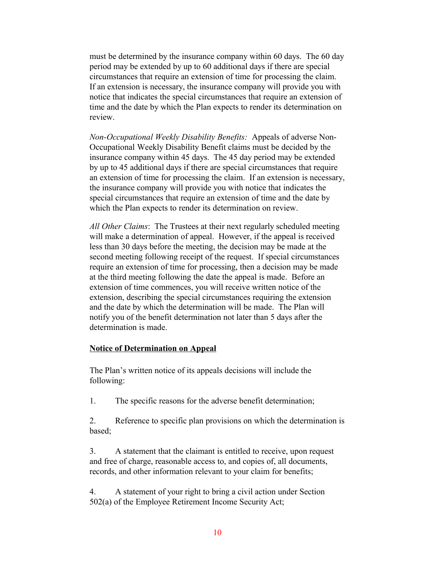must be determined by the insurance company within 60 days. The 60 day period may be extended by up to 60 additional days if there are special circumstances that require an extension of time for processing the claim. If an extension is necessary, the insurance company will provide you with notice that indicates the special circumstances that require an extension of time and the date by which the Plan expects to render its determination on review.

*Non-Occupational Weekly Disability Benefits:* Appeals of adverse Non-Occupational Weekly Disability Benefit claims must be decided by the insurance company within 45 days. The 45 day period may be extended by up to 45 additional days if there are special circumstances that require an extension of time for processing the claim. If an extension is necessary, the insurance company will provide you with notice that indicates the special circumstances that require an extension of time and the date by which the Plan expects to render its determination on review.

*All Other Claims*: The Trustees at their next regularly scheduled meeting will make a determination of appeal. However, if the appeal is received less than 30 days before the meeting, the decision may be made at the second meeting following receipt of the request. If special circumstances require an extension of time for processing, then a decision may be made at the third meeting following the date the appeal is made. Before an extension of time commences, you will receive written notice of the extension, describing the special circumstances requiring the extension and the date by which the determination will be made. The Plan will notify you of the benefit determination not later than 5 days after the determination is made.

# **Notice of Determination on Appeal**

The Plan's written notice of its appeals decisions will include the following:

1. The specific reasons for the adverse benefit determination;

2. Reference to specific plan provisions on which the determination is based;

3. A statement that the claimant is entitled to receive, upon request and free of charge, reasonable access to, and copies of, all documents, records, and other information relevant to your claim for benefits;

4. A statement of your right to bring a civil action under Section 502(a) of the Employee Retirement Income Security Act;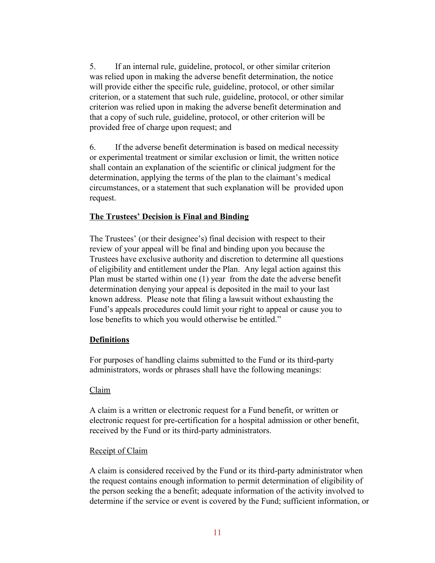5. If an internal rule, guideline, protocol, or other similar criterion was relied upon in making the adverse benefit determination, the notice will provide either the specific rule, guideline, protocol, or other similar criterion, or a statement that such rule, guideline, protocol, or other similar criterion was relied upon in making the adverse benefit determination and that a copy of such rule, guideline, protocol, or other criterion will be provided free of charge upon request; and

6. If the adverse benefit determination is based on medical necessity or experimental treatment or similar exclusion or limit, the written notice shall contain an explanation of the scientific or clinical judgment for the determination, applying the terms of the plan to the claimant's medical circumstances, or a statement that such explanation will be provided upon request.

# **The Trustees' Decision is Final and Binding**

The Trustees' (or their designee's) final decision with respect to their review of your appeal will be final and binding upon you because the Trustees have exclusive authority and discretion to determine all questions of eligibility and entitlement under the Plan. Any legal action against this Plan must be started within one (1) year from the date the adverse benefit determination denying your appeal is deposited in the mail to your last known address. Please note that filing a lawsuit without exhausting the Fund's appeals procedures could limit your right to appeal or cause you to lose benefits to which you would otherwise be entitled."

### **Definitions**

For purposes of handling claims submitted to the Fund or its third-party administrators, words or phrases shall have the following meanings:

### Claim

A claim is a written or electronic request for a Fund benefit, or written or electronic request for pre-certification for a hospital admission or other benefit, received by the Fund or its third-party administrators.

## **Receipt of Claim**

A claim is considered received by the Fund or its third-party administrator when the request contains enough information to permit determination of eligibility of the person seeking the a benefit; adequate information of the activity involved to determine if the service or event is covered by the Fund; sufficient information, or